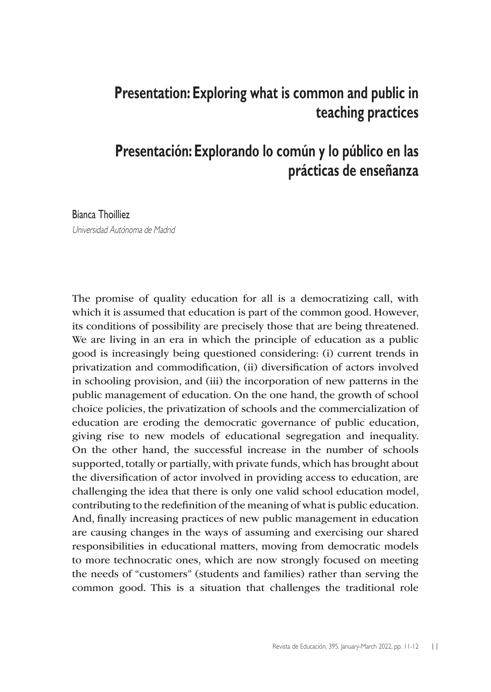## **Presentation: Exploring what is common and public in teaching practices**

## **Presentación: Explorando lo común y lo público en las prácticas de enseñanza**

## Bianca Thoilliez

Universidad Autónoma de Madrid

The promise of quality education for all is a democratizing call, with which it is assumed that education is part of the common good. However, its conditions of possibility are precisely those that are being threatened. We are living in an era in which the principle of education as a public good is increasingly being questioned considering: (i) current trends in privatization and commodification, (ii) diversification of actors involved in schooling provision, and (iii) the incorporation of new patterns in the public management of education. On the one hand, the growth of school choice policies, the privatization of schools and the commercialization of education are eroding the democratic governance of public education, giving rise to new models of educational segregation and inequality. On the other hand, the successful increase in the number of schools supported, totally or partially, with private funds, which has brought about the diversification of actor involved in providing access to education, are challenging the idea that there is only one valid school education model, contributing to the redefinition of the meaning of what is public education. And, finally increasing practices of new public management in education are causing changes in the ways of assuming and exercising our shared responsibilities in educational matters, moving from democratic models to more technocratic ones, which are now strongly focused on meeting the needs of "customers" (students and families) rather than serving the common good. This is a situation that challenges the traditional role